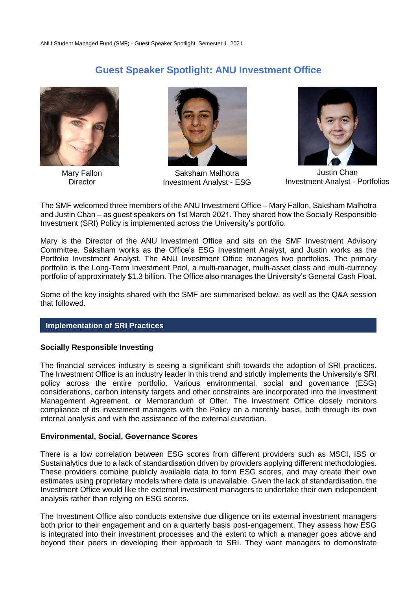# **Guest Speaker Spotlight: ANU Investment Office**



Mary Fallon **Director** 



Saksham Malhotra Investment Analyst - ESG



Justin Chan Investment Analyst - Portfolios

The SMF welcomed three members of the ANU Investment Office – Mary Fallon, Saksham Malhotra and Justin Chan – as guest speakers on 1st March 2021. They shared how the Socially Responsible Investment (SRI) Policy is implemented across the University's portfolio.

Mary is the Director of the ANU Investment Office and sits on the SMF Investment Advisory Committee. Saksham works as the Office's ESG Investment Analyst, and Justin works as the Portfolio Investment Analyst. The ANU Investment Office manages two portfolios. The primary portfolio is the Long-Term Investment Pool, a multi-manager, multi-asset class and multi-currency portfolio of approximately \$1.3 billion. The Office also manages the University's General Cash Float.

Some of the key insights shared with the SMF are summarised below, as well as the Q&A session that followed.

### **Implementation of SRI Practices**

#### **Socially Responsible Investing**

The financial services industry is seeing a significant shift towards the adoption of SRI practices. The Investment Office is an industry leader in this trend and strictly implements the University's SRI policy across the entire portfolio. Various environmental, social and governance (ESG) considerations, carbon intensity targets and other constraints are incorporated into the Investment Management Agreement, or Memorandum of Offer. The Investment Office closely monitors compliance of its investment managers with the Policy on a monthly basis, both through its own internal analysis and with the assistance of the external custodian.

#### **Environmental, Social, Governance Scores**

There is a low correlation between ESG scores from different providers such as MSCI, ISS or Sustainalytics due to a lack of standardisation driven by providers applying different methodologies. These providers combine publicly available data to form ESG scores, and may create their own estimates using proprietary models where data is unavailable. Given the lack of standardisation, the Investment Office would like the external investment managers to undertake their own independent analysis rather than relying on ESG scores.

The Investment Office also conducts extensive due diligence on its external investment managers both prior to their engagement and on a quarterly basis post-engagement. They assess how ESG is integrated into their investment processes and the extent to which a manager goes above and beyond their peers in developing their approach to SRI. They want managers to demonstrate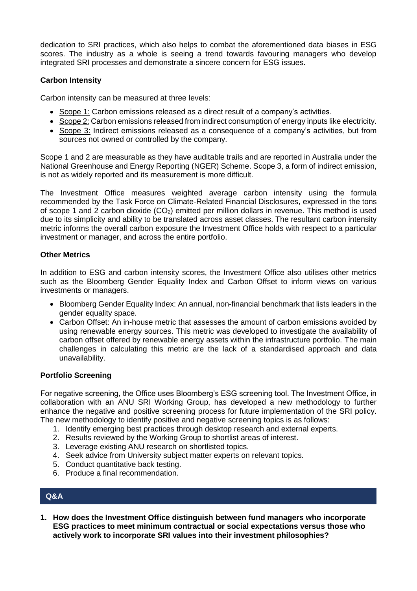dedication to SRI practices, which also helps to combat the aforementioned data biases in ESG scores. The industry as a whole is seeing a trend towards favouring managers who develop integrated SRI processes and demonstrate a sincere concern for ESG issues.

# **Carbon Intensity**

Carbon intensity can be measured at three levels:

- Scope 1: Carbon emissions released as a direct result of a company's activities.
- Scope 2: Carbon emissions released from indirect consumption of energy inputs like electricity.
- Scope 3: Indirect emissions released as a consequence of a company's activities, but from sources not owned or controlled by the company.

Scope 1 and 2 are measurable as they have auditable trails and are reported in Australia under the National Greenhouse and Energy Reporting (NGER) Scheme. Scope 3, a form of indirect emission, is not as widely reported and its measurement is more difficult.

The Investment Office measures weighted average carbon intensity using the formula recommended by the Task Force on Climate-Related Financial Disclosures, expressed in the tons of scope 1 and 2 carbon dioxide  $(CO_2)$  emitted per million dollars in revenue. This method is used due to its simplicity and ability to be translated across asset classes. The resultant carbon intensity metric informs the overall carbon exposure the Investment Office holds with respect to a particular investment or manager, and across the entire portfolio.

# **Other Metrics**

In addition to ESG and carbon intensity scores, the Investment Office also utilises other metrics such as the Bloomberg Gender Equality Index and Carbon Offset to inform views on various investments or managers.

- Bloomberg Gender Equality Index: An annual, non-financial benchmark that lists leaders in the gender equality space.
- Carbon Offset: An in-house metric that assesses the amount of carbon emissions avoided by using renewable energy sources. This metric was developed to investigate the availability of carbon offset offered by renewable energy assets within the infrastructure portfolio. The main challenges in calculating this metric are the lack of a standardised approach and data unavailability.

# **Portfolio Screening**

For negative screening, the Office uses Bloomberg's ESG screening tool. The Investment Office, in collaboration with an ANU SRI Working Group, has developed a new methodology to further enhance the negative and positive screening process for future implementation of the SRI policy. The new methodology to identify positive and negative screening topics is as follows:

- 1. Identify emerging best practices through desktop research and external experts.
- 2. Results reviewed by the Working Group to shortlist areas of interest.
- 3. Leverage existing ANU research on shortlisted topics.
- 4. Seek advice from University subject matter experts on relevant topics.
- 5. Conduct quantitative back testing.
- 6. Produce a final recommendation.

# **Q&A**

**1. How does the Investment Office distinguish between fund managers who incorporate ESG practices to meet minimum contractual or social expectations versus those who actively work to incorporate SRI values into their investment philosophies?**